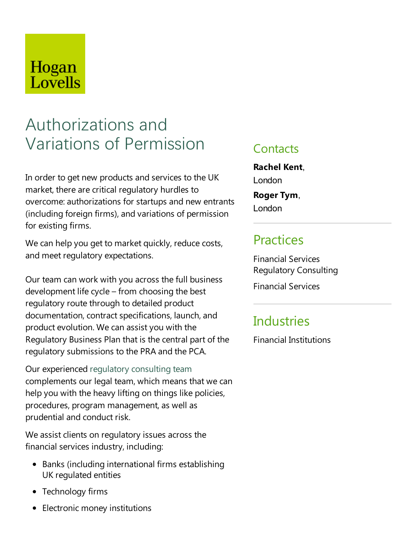# Hogan Lovells

# Authorizations and Variations of Permission

In order to get new products and services to the UK market, there are critical regulatory hurdles to overcome: authorizations for startups and new entrants (including foreign firms), and variations of permission for existing firms.

We can help you get to market quickly, reduce costs, and meet regulatory expectations.

Our team can work with you across the full business development lifecycle– from choosing the best regulatory route through to detailed product documentation, contract specifications, launch, and product evolution. We can assist you with the Regulatory Business Plan that is the central part of the regulatory submissions to the PRA and the PCA.

Our experienced regulatory consulting team complements our legal team, which means that wecan help you with the heavy lifting on things like policies, procedures, program management, as well as prudential and conduct risk.

We assist clients on regulatory issues across the financial services industry, including:

- Banks (including international firms establishing UK regulated entities
- Technology firms
- Electronic money institutions

#### **Contacts**

**Rachel Kent**, London

**Roger Tym**, London

### **Practices**

Financial Services Regulatory Consulting

Financial Services

## **Industries**

Financial Institutions